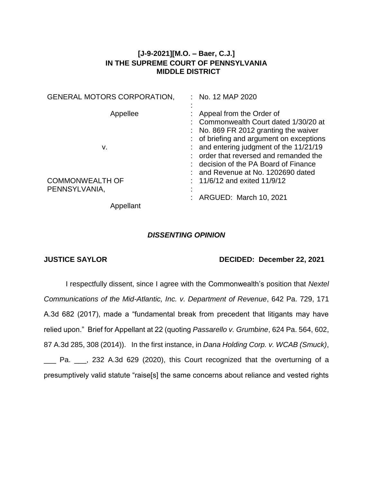## **[J-9-2021][M.O. – Baer, C.J.] IN THE SUPREME COURT OF PENNSYLVANIA MIDDLE DISTRICT**

| <b>GENERAL MOTORS CORPORATION,</b> | No. 12 MAP 2020                                  |
|------------------------------------|--------------------------------------------------|
|                                    |                                                  |
| Appellee                           | Appeal from the Order of                         |
|                                    | : Commonwealth Court dated 1/30/20 at            |
|                                    | $\therefore$ No. 869 FR 2012 granting the waiver |
|                                    | : of briefing and argument on exceptions         |
| v.                                 | and entering judgment of the 11/21/19            |
|                                    | order that reversed and remanded the             |
|                                    | : decision of the PA Board of Finance            |
|                                    | and Revenue at No. 1202690 dated                 |
| <b>COMMONWEALTH OF</b>             | 11/6/12 and exited 11/9/12                       |
| PENNSYLVANIA,                      |                                                  |
|                                    | ARGUED: March 10, 2021                           |
| Appellant                          |                                                  |

## *DISSENTING OPINION*

## **JUSTICE SAYLOR DECIDED: December 22, 2021**

I respectfully dissent, since I agree with the Commonwealth's position that *Nextel Communications of the Mid-Atlantic, Inc. v. Department of Revenue*, 642 Pa. 729, 171 A.3d 682 (2017), made a "fundamental break from precedent that litigants may have relied upon." Brief for Appellant at 22 (quoting *Passarello v. Grumbine*, 624 Pa. 564, 602, 87 A.3d 285, 308 (2014)). In the first instance, in *Dana Holding Corp. v. WCAB (Smuck)*, \_\_\_ Pa. \_\_\_, 232 A.3d 629 (2020), this Court recognized that the overturning of a presumptively valid statute "raise[s] the same concerns about reliance and vested rights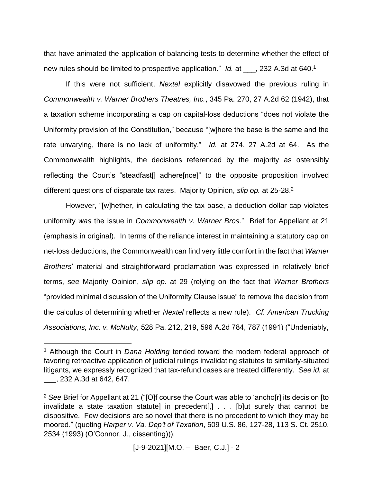that have animated the application of balancing tests to determine whether the effect of new rules should be limited to prospective application." *Id.* at \_\_\_, 232 A.3d at 640.<sup>1</sup>

If this were not sufficient, *Nextel* explicitly disavowed the previous ruling in *Commonwealth v. Warner Brothers Theatres, Inc.*, 345 Pa. 270, 27 A.2d 62 (1942), that a taxation scheme incorporating a cap on capital-loss deductions "does not violate the Uniformity provision of the Constitution," because "[w]here the base is the same and the rate unvarying, there is no lack of uniformity." *Id.* at 274, 27 A.2d at 64. As the Commonwealth highlights, the decisions referenced by the majority as ostensibly reflecting the Court's "steadfast[] adhere[nce]" to the opposite proposition involved different questions of disparate tax rates. Majority Opinion, *slip op.* at 25-28.<sup>2</sup>

However, "[w]hether, in calculating the tax base, a deduction dollar cap violates uniformity *was* the issue in *Commonwealth v. Warner Bros*." Brief for Appellant at 21 (emphasis in original). In terms of the reliance interest in maintaining a statutory cap on net-loss deductions, the Commonwealth can find very little comfort in the fact that *Warner Brothers*' material and straightforward proclamation was expressed in relatively brief terms, *see* Majority Opinion, *slip op.* at 29 (relying on the fact that *Warner Brothers* "provided minimal discussion of the Uniformity Clause issue" to remove the decision from the calculus of determining whether *Nextel* reflects a new rule). *Cf. American Trucking Associations, Inc. v. McNulty*, 528 Pa. 212, 219, 596 A.2d 784, 787 (1991) ("Undeniably,

 $\overline{a}$ 

[J-9-2021][M.O. – Baer, C.J.] - 2

<sup>1</sup> Although the Court in *Dana Holding* tended toward the modern federal approach of favoring retroactive application of judicial rulings invalidating statutes to similarly-situated litigants, we expressly recognized that tax-refund cases are treated differently. *See id.* at \_\_\_, 232 A.3d at 642, 647.

<sup>2</sup> *See* Brief for Appellant at 21 ("[O]f course the Court was able to 'ancho[r] its decision [to invalidate a state taxation statute] in precedent[,] . . . [b]ut surely that cannot be dispositive. Few decisions are so novel that there is no precedent to which they may be moored." (quoting *Harper v. Va. Dep't of Taxation*, 509 U.S. 86, 127-28, 113 S. Ct. 2510, 2534 (1993) (O'Connor, J., dissenting))).